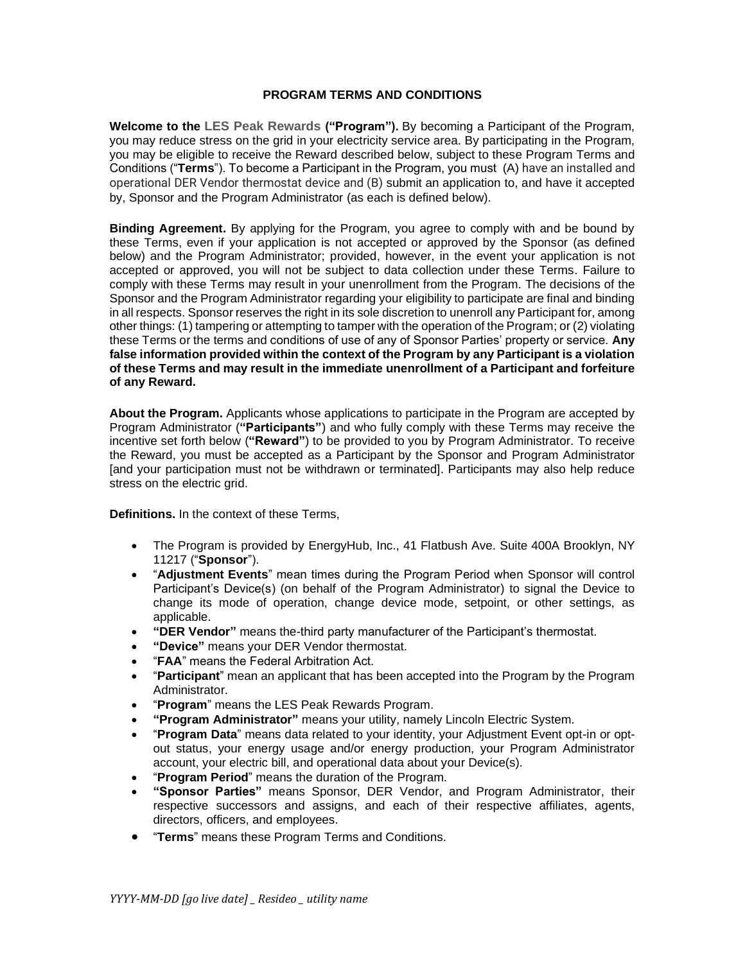## **PROGRAM TERMS AND CONDITIONS**

**Welcome to the LES Peak Rewards ("Program").** By becoming a Participant of the Program, you may reduce stress on the grid in your electricity service area. By participating in the Program, you may be eligible to receive the Reward described below, subject to these Program Terms and Conditions ("**Terms**"). To become a Participant in the Program, you must (A) have an installed and operational DER Vendor thermostat device and (B) submit an application to, and have it accepted by, Sponsor and the Program Administrator (as each is defined below).

**Binding Agreement.** By applying for the Program, you agree to comply with and be bound by these Terms, even if your application is not accepted or approved by the Sponsor (as defined below) and the Program Administrator; provided, however, in the event your application is not accepted or approved, you will not be subject to data collection under these Terms. Failure to comply with these Terms may result in your unenrollment from the Program. The decisions of the Sponsor and the Program Administrator regarding your eligibility to participate are final and binding in all respects. Sponsor reserves the right in its sole discretion to unenroll any Participant for, among other things: (1) tampering or attempting to tamper with the operation of the Program; or (2) violating these Terms or the terms and conditions of use of any of Sponsor Parties' property or service. **Any false information provided within the context of the Program by any Participant is a violation of these Terms and may result in the immediate unenrollment of a Participant and forfeiture of any Reward.**

**About the Program.** Applicants whose applications to participate in the Program are accepted by Program Administrator (**"Participants"**) and who fully comply with these Terms may receive the incentive set forth below (**"Reward"**) to be provided to you by Program Administrator. To receive the Reward, you must be accepted as a Participant by the Sponsor and Program Administrator [and your participation must not be withdrawn or terminated]. Participants may also help reduce stress on the electric grid.

**Definitions.** In the context of these Terms,

- The Program is provided by EnergyHub, Inc., 41 Flatbush Ave. Suite 400A Brooklyn, NY 11217 ("**Sponsor**").
- "**Adjustment Events**" mean times during the Program Period when Sponsor will control Participant's Device(s) (on behalf of the Program Administrator) to signal the Device to change its mode of operation, change device mode, setpoint, or other settings, as applicable.
- **"DER Vendor"** means the-third party manufacturer of the Participant's thermostat.
- **"Device"** means your DER Vendor thermostat.
- "**FAA**" means the Federal Arbitration Act.
- "**Participant**" mean an applicant that has been accepted into the Program by the Program Administrator.
- "**Program**" means the LES Peak Rewards Program.
- **"Program Administrator"** means your utility, namely Lincoln Electric System.
- "**Program Data**" means data related to your identity, your Adjustment Event opt-in or optout status, your energy usage and/or energy production, your Program Administrator account, your electric bill, and operational data about your Device(s).
- "**Program Period**" means the duration of the Program.
- **"Sponsor Parties"** means Sponsor, DER Vendor, and Program Administrator, their respective successors and assigns, and each of their respective affiliates, agents, directors, officers, and employees.
- "**Terms**" means these Program Terms and Conditions.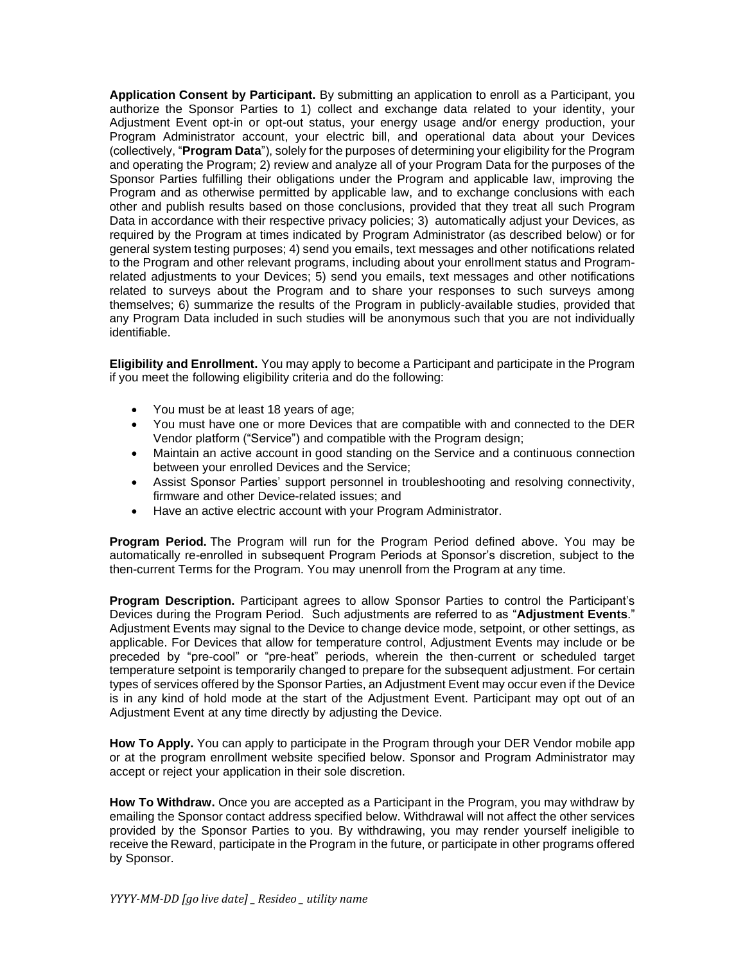**Application Consent by Participant.** By submitting an application to enroll as a Participant, you authorize the Sponsor Parties to 1) collect and exchange data related to your identity, your Adjustment Event opt-in or opt-out status, your energy usage and/or energy production, your Program Administrator account, your electric bill, and operational data about your Devices (collectively, "**Program Data**"), solely for the purposes of determining your eligibility for the Program and operating the Program; 2) review and analyze all of your Program Data for the purposes of the Sponsor Parties fulfilling their obligations under the Program and applicable law, improving the Program and as otherwise permitted by applicable law, and to exchange conclusions with each other and publish results based on those conclusions, provided that they treat all such Program Data in accordance with their respective privacy policies; 3) automatically adjust your Devices, as required by the Program at times indicated by Program Administrator (as described below) or for general system testing purposes; 4) send you emails, text messages and other notifications related to the Program and other relevant programs, including about your enrollment status and Programrelated adjustments to your Devices; 5) send you emails, text messages and other notifications related to surveys about the Program and to share your responses to such surveys among themselves; 6) summarize the results of the Program in publicly-available studies, provided that any Program Data included in such studies will be anonymous such that you are not individually identifiable.

**Eligibility and Enrollment.** You may apply to become a Participant and participate in the Program if you meet the following eligibility criteria and do the following:

- You must be at least 18 years of age;
- You must have one or more Devices that are compatible with and connected to the DER Vendor platform ("Service") and compatible with the Program design;
- Maintain an active account in good standing on the Service and a continuous connection between your enrolled Devices and the Service;
- Assist Sponsor Parties' support personnel in troubleshooting and resolving connectivity, firmware and other Device-related issues; and
- Have an active electric account with your Program Administrator.

**Program Period.** The Program will run for the Program Period defined above. You may be automatically re-enrolled in subsequent Program Periods at Sponsor's discretion, subject to the then-current Terms for the Program. You may unenroll from the Program at any time.

**Program Description.** Participant agrees to allow Sponsor Parties to control the Participant's Devices during the Program Period. Such adjustments are referred to as "**Adjustment Events**." Adjustment Events may signal to the Device to change device mode, setpoint, or other settings, as applicable. For Devices that allow for temperature control, Adjustment Events may include or be preceded by "pre-cool" or "pre-heat" periods, wherein the then-current or scheduled target temperature setpoint is temporarily changed to prepare for the subsequent adjustment. For certain types of services offered by the Sponsor Parties, an Adjustment Event may occur even if the Device is in any kind of hold mode at the start of the Adjustment Event. Participant may opt out of an Adjustment Event at any time directly by adjusting the Device.

**How To Apply.** You can apply to participate in the Program through your DER Vendor mobile app or at the program enrollment website specified below. Sponsor and Program Administrator may accept or reject your application in their sole discretion.

**How To Withdraw.** Once you are accepted as a Participant in the Program, you may withdraw by emailing the Sponsor contact address specified below. Withdrawal will not affect the other services provided by the Sponsor Parties to you. By withdrawing, you may render yourself ineligible to receive the Reward, participate in the Program in the future, or participate in other programs offered by Sponsor.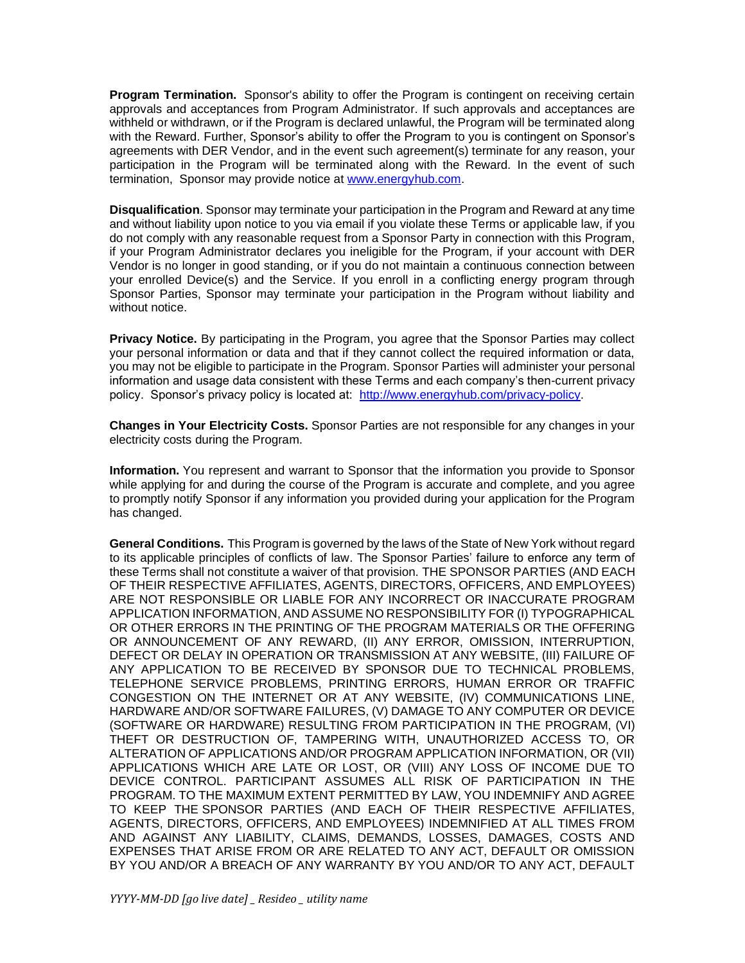**Program Termination.** Sponsor's ability to offer the Program is contingent on receiving certain approvals and acceptances from Program Administrator. If such approvals and acceptances are withheld or withdrawn, or if the Program is declared unlawful, the Program will be terminated along with the Reward. Further, Sponsor's ability to offer the Program to you is contingent on Sponsor's agreements with DER Vendor, and in the event such agreement(s) terminate for any reason, your participation in the Program will be terminated along with the Reward. In the event of such termination, Sponsor may provide notice at [www.energyhub.com.](http://www.energyhub.com/)

**Disqualification**. Sponsor may terminate your participation in the Program and Reward at any time and without liability upon notice to you via email if you violate these Terms or applicable law, if you do not comply with any reasonable request from a Sponsor Party in connection with this Program, if your Program Administrator declares you ineligible for the Program, if your account with DER Vendor is no longer in good standing, or if you do not maintain a continuous connection between your enrolled Device(s) and the Service. If you enroll in a conflicting energy program through Sponsor Parties, Sponsor may terminate your participation in the Program without liability and without notice.

**Privacy Notice.** By participating in the Program, you agree that the Sponsor Parties may collect your personal information or data and that if they cannot collect the required information or data, you may not be eligible to participate in the Program. Sponsor Parties will administer your personal information and usage data consistent with these Terms and each company's then-current privacy policy. Sponsor's privacy policy is located at: [http://www.energyhub.com/privacy-policy.](http://www.energyhub.com/privacy-policy)

**Changes in Your Electricity Costs.** Sponsor Parties are not responsible for any changes in your electricity costs during the Program.

**Information.** You represent and warrant to Sponsor that the information you provide to Sponsor while applying for and during the course of the Program is accurate and complete, and you agree to promptly notify Sponsor if any information you provided during your application for the Program has changed.

**General Conditions.** This Program is governed by the laws of the State of New York without regard to its applicable principles of conflicts of law. The Sponsor Parties' failure to enforce any term of these Terms shall not constitute a waiver of that provision. THE SPONSOR PARTIES (AND EACH OF THEIR RESPECTIVE AFFILIATES, AGENTS, DIRECTORS, OFFICERS, AND EMPLOYEES) ARE NOT RESPONSIBLE OR LIABLE FOR ANY INCORRECT OR INACCURATE PROGRAM APPLICATION INFORMATION, AND ASSUME NO RESPONSIBILITY FOR (I) TYPOGRAPHICAL OR OTHER ERRORS IN THE PRINTING OF THE PROGRAM MATERIALS OR THE OFFERING OR ANNOUNCEMENT OF ANY REWARD, (II) ANY ERROR, OMISSION, INTERRUPTION, DEFECT OR DELAY IN OPERATION OR TRANSMISSION AT ANY WEBSITE, (III) FAILURE OF ANY APPLICATION TO BE RECEIVED BY SPONSOR DUE TO TECHNICAL PROBLEMS, TELEPHONE SERVICE PROBLEMS, PRINTING ERRORS, HUMAN ERROR OR TRAFFIC CONGESTION ON THE INTERNET OR AT ANY WEBSITE, (IV) COMMUNICATIONS LINE, HARDWARE AND/OR SOFTWARE FAILURES, (V) DAMAGE TO ANY COMPUTER OR DEVICE (SOFTWARE OR HARDWARE) RESULTING FROM PARTICIPATION IN THE PROGRAM, (VI) THEFT OR DESTRUCTION OF, TAMPERING WITH, UNAUTHORIZED ACCESS TO, OR ALTERATION OF APPLICATIONS AND/OR PROGRAM APPLICATION INFORMATION, OR (VII) APPLICATIONS WHICH ARE LATE OR LOST, OR (VIII) ANY LOSS OF INCOME DUE TO DEVICE CONTROL. PARTICIPANT ASSUMES ALL RISK OF PARTICIPATION IN THE PROGRAM. TO THE MAXIMUM EXTENT PERMITTED BY LAW, YOU INDEMNIFY AND AGREE TO KEEP THE SPONSOR PARTIES (AND EACH OF THEIR RESPECTIVE AFFILIATES, AGENTS, DIRECTORS, OFFICERS, AND EMPLOYEES) INDEMNIFIED AT ALL TIMES FROM AND AGAINST ANY LIABILITY, CLAIMS, DEMANDS, LOSSES, DAMAGES, COSTS AND EXPENSES THAT ARISE FROM OR ARE RELATED TO ANY ACT, DEFAULT OR OMISSION BY YOU AND/OR A BREACH OF ANY WARRANTY BY YOU AND/OR TO ANY ACT, DEFAULT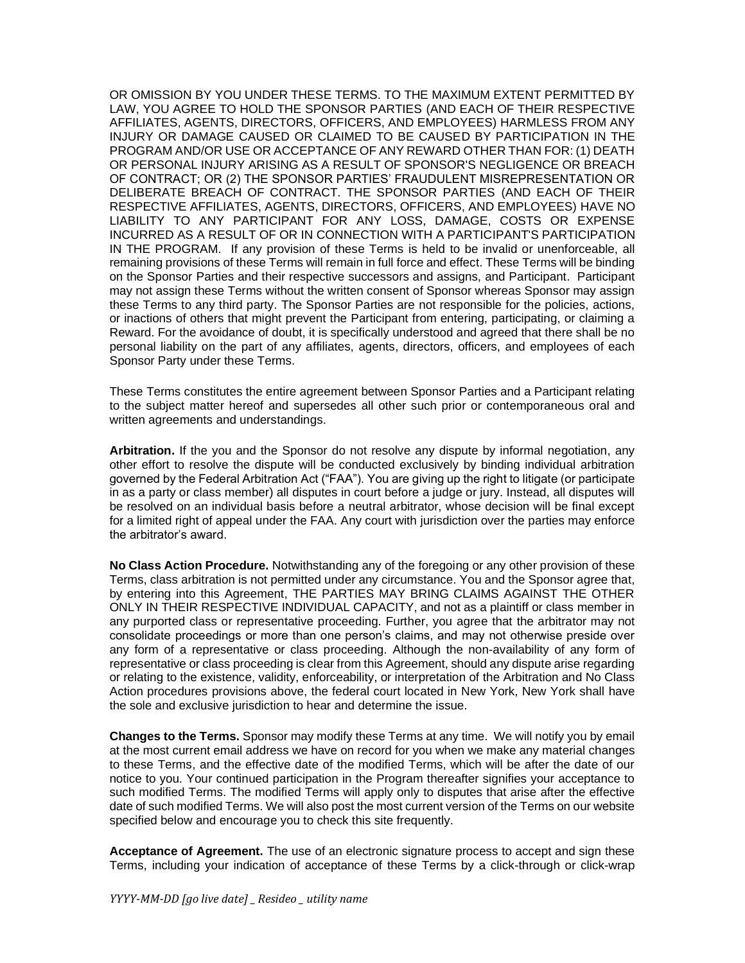OR OMISSION BY YOU UNDER THESE TERMS. TO THE MAXIMUM EXTENT PERMITTED BY LAW, YOU AGREE TO HOLD THE SPONSOR PARTIES (AND EACH OF THEIR RESPECTIVE AFFILIATES, AGENTS, DIRECTORS, OFFICERS, AND EMPLOYEES) HARMLESS FROM ANY INJURY OR DAMAGE CAUSED OR CLAIMED TO BE CAUSED BY PARTICIPATION IN THE PROGRAM AND/OR USE OR ACCEPTANCE OF ANY REWARD OTHER THAN FOR: (1) DEATH OR PERSONAL INJURY ARISING AS A RESULT OF SPONSOR'S NEGLIGENCE OR BREACH OF CONTRACT; OR (2) THE SPONSOR PARTIES' FRAUDULENT MISREPRESENTATION OR DELIBERATE BREACH OF CONTRACT. THE SPONSOR PARTIES (AND EACH OF THEIR RESPECTIVE AFFILIATES, AGENTS, DIRECTORS, OFFICERS, AND EMPLOYEES) HAVE NO LIABILITY TO ANY PARTICIPANT FOR ANY LOSS, DAMAGE, COSTS OR EXPENSE INCURRED AS A RESULT OF OR IN CONNECTION WITH A PARTICIPANT'S PARTICIPATION IN THE PROGRAM. If any provision of these Terms is held to be invalid or unenforceable, all remaining provisions of these Terms will remain in full force and effect. These Terms will be binding on the Sponsor Parties and their respective successors and assigns, and Participant. Participant may not assign these Terms without the written consent of Sponsor whereas Sponsor may assign these Terms to any third party. The Sponsor Parties are not responsible for the policies, actions, or inactions of others that might prevent the Participant from entering, participating, or claiming a Reward. For the avoidance of doubt, it is specifically understood and agreed that there shall be no personal liability on the part of any affiliates, agents, directors, officers, and employees of each Sponsor Party under these Terms.

These Terms constitutes the entire agreement between Sponsor Parties and a Participant relating to the subject matter hereof and supersedes all other such prior or contemporaneous oral and written agreements and understandings.

**Arbitration.** If the you and the Sponsor do not resolve any dispute by informal negotiation, any other effort to resolve the dispute will be conducted exclusively by binding individual arbitration governed by the Federal Arbitration Act ("FAA"). You are giving up the right to litigate (or participate in as a party or class member) all disputes in court before a judge or jury. Instead, all disputes will be resolved on an individual basis before a neutral arbitrator, whose decision will be final except for a limited right of appeal under the FAA. Any court with jurisdiction over the parties may enforce the arbitrator's award.

**No Class Action Procedure.** Notwithstanding any of the foregoing or any other provision of these Terms, class arbitration is not permitted under any circumstance. You and the Sponsor agree that, by entering into this Agreement, THE PARTIES MAY BRING CLAIMS AGAINST THE OTHER ONLY IN THEIR RESPECTIVE INDIVIDUAL CAPACITY, and not as a plaintiff or class member in any purported class or representative proceeding. Further, you agree that the arbitrator may not consolidate proceedings or more than one person's claims, and may not otherwise preside over any form of a representative or class proceeding. Although the non-availability of any form of representative or class proceeding is clear from this Agreement, should any dispute arise regarding or relating to the existence, validity, enforceability, or interpretation of the Arbitration and No Class Action procedures provisions above, the federal court located in New York, New York shall have the sole and exclusive jurisdiction to hear and determine the issue.

**Changes to the Terms.** Sponsor may modify these Terms at any time. We will notify you by email at the most current email address we have on record for you when we make any material changes to these Terms, and the effective date of the modified Terms, which will be after the date of our notice to you. Your continued participation in the Program thereafter signifies your acceptance to such modified Terms. The modified Terms will apply only to disputes that arise after the effective date of such modified Terms. We will also post the most current version of the Terms on our website specified below and encourage you to check this site frequently.

**Acceptance of Agreement.** The use of an electronic signature process to accept and sign these Terms, including your indication of acceptance of these Terms by a click-through or click-wrap